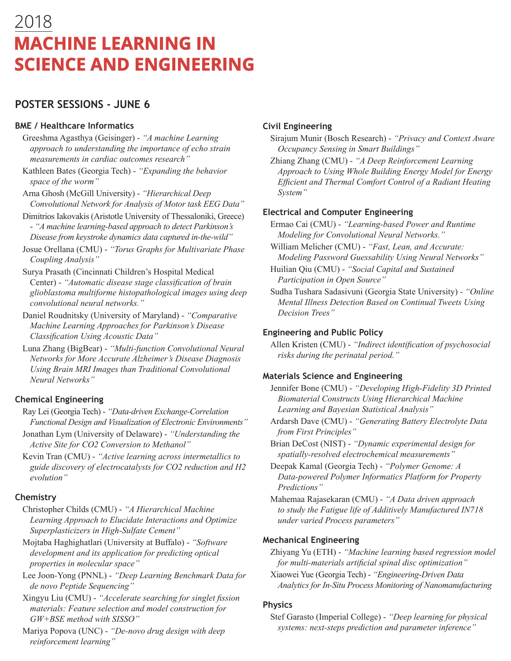# 2018 **MACHINE LEARNING IN SCIENCE AND ENGINEERING**

# **POSTER SESSIONS - JUNE 6**

#### **BME / Healthcare Informatics**

- Greeshma Agasthya (Geisinger) *"A machine Learning approach to understanding the importance of echo strain measurements in cardiac outcomes research"*
- Kathleen Bates (Georgia Tech) *"Expanding the behavior space of the worm"*
- Arna Ghosh (McGill University) *"Hierarchical Deep Convolutional Network for Analysis of Motor task EEG Data"*
- Dimitrios Iakovakis (Aristotle University of Thessaloniki, Greece) - *"A machine learning-based approach to detect Parkinson's Disease from keystroke dynamics data captured in-the-wild"*
- Josue Orellana (CMU) - *"Torus Graphs for Multivariate Phase Coupling Analysis"*
- Surya Prasath (Cincinnati Children's Hospital Medical Center) - *"Automatic disease stage classification of brain glioblastoma multiforme histopathological images using deep convolutional neural networks."*
- Daniel Roudnitsky (University of Maryland) *"Comparative Machine Learning Approaches for Parkinson's Disease Classification Using Acoustic Data"*
- Luna Zhang (BigBear) *"Multi-function Convolutional Neural Networks for More Accurate Alzheimer's Disease Diagnosis Using Brain MRI Images than Traditional Convolutional Neural Networks"*

## **Chemical Engineering**

- Ray Lei (Georgia Tech) - *"Data-driven Exchange-Correlation Functional Design and Visualization of Electronic Environments"*
- Jonathan Lym (University of Delaware) - *"Understanding the Active Site for CO2 Conversion to Methanol"*
- Kevin Tran (CMU) - *"Active learning across intermetallics to guide discovery of electrocatalysts for CO2 reduction and H2 evolution"*

## **Chemistry**

- Christopher Childs (CMU) *"A Hierarchical Machine Learning Approach to Elucidate Interactions and Optimize Superplasticizers in High-Sulfate Cement"*
- Mojtaba Haghighatlari (University at Buffalo) *"Software development and its application for predicting optical properties in molecular space"*
- Lee Joon-Yong (PNNL) *"Deep Learning Benchmark Data for de novo Peptide Sequencing"*
- Xingyu Liu (CMU) *"Accelerate searching for singlet fission materials: Feature selection and model construction for GW+BSE method with SISSO"*
- Mariya Popova (UNC) *"De-novo drug design with deep reinforcement learning"*

## **Civil Engineering**

- Sirajum Munir (Bosch Research) *"Privacy and Context Aware Occupancy Sensing in Smart Buildings"*
- Zhiang Zhang (CMU) - *"A Deep Reinforcement Learning Approach to Using Whole Building Energy Model for Energy Efficient and Thermal Comfort Control of a Radiant Heating System"*

## **Electrical and Computer Engineering**

Ermao Cai (CMU) - *"Learning-based Power and Runtime Modeling for Convolutional Neural Networks."*

- William Melicher (CMU) *"Fast, Lean, and Accurate: Modeling Password Guessability Using Neural Networks"*
- Huilian Qiu (CMU) *"Social Capital and Sustained Participation in Open Source"*
- Sudha Tushara Sadasivuni (Georgia State University) *"Online Mental Illness Detection Based on Continual Tweets Using Decision Trees"*

## **Engineering and Public Policy**

Allen Kristen (CMU) - *"Indirect identification of psychosocial risks during the perinatal period."*

## **Materials Science and Engineering**

- Jennifer Bone (CMU) *"Developing High-Fidelity 3D Printed Biomaterial Constructs Using Hierarchical Machine Learning and Bayesian Statistical Analysis"*
- Ardarsh Dave (CMU) *"Generating Battery Electrolyte Data from First Principles"*
- Brian DeCost (NIST) *"Dynamic experimental design for spatially-resolved electrochemical measurements"*
- Deepak Kamal (Georgia Tech) *"Polymer Genome: A Data-powered Polymer Informatics Platform for Property Predictions"*
- Mahemaa Rajasekaran (CMU) *"A Data driven approach to study the Fatigue life of Additively Manufactured IN718 under varied Process parameters"*

## **Mechanical Engineering**

- Zhiyang Yu (ETH) *"Machine learning based regression model for multi-materials artificial spinal disc optimization"*
- Xiaowei Yue (Georgia Tech) *"Engineering-Driven Data Analytics for In-Situ Process Monitoring of Nanomanufacturing*

#### **Physics**

Stef Garasto (Imperial College) - *"Deep learning for physical systems: next-steps prediction and parameter inference"*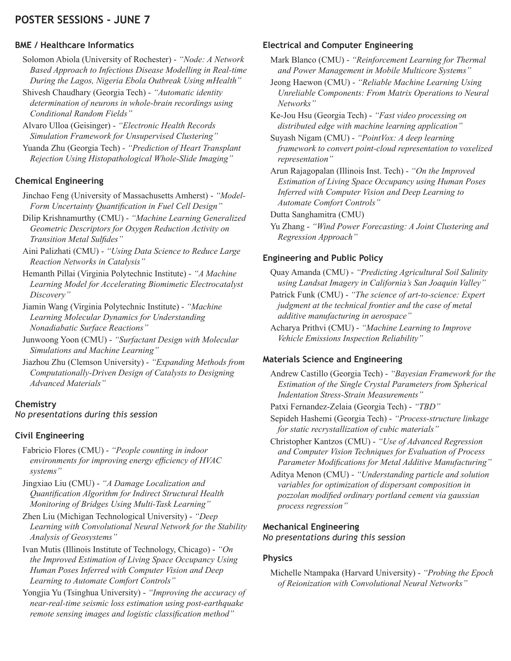## **POSTER SESSIONS - JUNE 7**

#### **BME / Healthcare Informatics**

- Solomon Abiola (University of Rochester) *"Node: A Network Based Approach to Infectious Disease Modelling in Real-time During the Lagos, Nigeria Ebola Outbreak Using mHealth"*
- Shivesh Chaudhary (Georgia Tech) *"Automatic identity determination of neurons in whole-brain recordings using Conditional Random Fields"*
- Alvaro Ulloa (Geisinger) *"Electronic Health Records Simulation Framework for Unsupervised Clustering"*
- Yuanda Zhu (Georgia Tech) *"Prediction of Heart Transplant Rejection Using Histopathological Whole-Slide Imaging"*

#### **Chemical Engineering**

- Jinchao Feng (University of Massachusetts Amherst) - *"Model-Form Uncertainty Quantification in Fuel Cell Design"*
- Dilip Krishnamurthy (CMU) - *"Machine Learning Generalized Geometric Descriptors for Oxygen Reduction Activity on Transition Metal Sulfides"*
- Aini Palizhati (CMU) - *"Using Data Science to Reduce Large Reaction Networks in Catalysis"*
- Hemanth Pillai (Virginia Polytechnic Institute) - *"A Machine Learning Model for Accelerating Biomimetic Electrocatalyst Discovery"*
- Jiamin Wang (Virginia Polytechnic Institute) - *"Machine Learning Molecular Dynamics for Understanding Nonadiabatic Surface Reactions"*
- Junwoong Yoon (CMU) - *"Surfactant Design with Molecular Simulations and Machine Learning"*
- Jiazhou Zhu (Clemson University) - *"Expanding Methods from Computationally-Driven Design of Catalysts to Designing Advanced Materials"*

#### **Chemistry**

*No presentations during this session*

## **Civil Engineering**

- Fabricio Flores (CMU) *"People counting in indoor environments for improving energy efficiency of HVAC systems"*
- Jingxiao Liu (CMU) *"A Damage Localization and Quantification Algorithm for Indirect Structural Health Monitoring of Bridges Using Multi-Task Learning"*
- Zhen Liu (Michigan Technological University) *"Deep Learning with Convolutional Neural Network for the Stability Analysis of Geosystems"*
- Ivan Mutis (Illinois Institute of Technology, Chicago) - *"On the Improved Estimation of Living Space Occupancy Using Human Poses Inferred with Computer Vision and Deep Learning to Automate Comfort Controls"*
- Yongjia Yu (Tsinghua University) - *"Improving the accuracy of near-real-time seismic loss estimation using post-earthquake remote sensing images and logistic classification method"*

# **Electrical and Computer Engineering**

- Mark Blanco (CMU) *"Reinforcement Learning for Thermal and Power Management in Mobile Multicore Systems"*
- Jeong Haewon (CMU) - *"Reliable Machine Learning Using Unreliable Components: From Matrix Operations to Neural Networks"*
- Ke-Jou Hsu (Georgia Tech) - *"Fast video processing on distributed edge with machine learning application"*
- Suyash Nigam (CMU) - *"PointVox: A deep learning framework to convert point-cloud representation to voxelized representation"*
- Arun Rajagopalan (Illinois Inst. Tech) *"On the Improved Estimation of Living Space Occupancy using Human Poses Inferred with Computer Vision and Deep Learning to Automate Comfort Controls"*
- Dutta Sanghamitra (CMU)
- Yu Zhang *"Wind Power Forecasting: A Joint Clustering and Regression Approach"*

## **Engineering and Public Policy**

- Quay Amanda (CMU) *"Predicting Agricultural Soil Salinity using Landsat Imagery in California's San Joaquin Valley"*
- Patrick Funk (CMU) *"The science of art-to-science: Expert judgment at the technical frontier and the case of metal additive manufacturing in aerospace"*
- Acharya Prithvi (CMU) *"Machine Learning to Improve Vehicle Emissions Inspection Reliability"*

## **Materials Science and Engineering**

- Andrew Castillo (Georgia Tech) *"Bayesian Framework for the Estimation of the Single Crystal Parameters from Spherical Indentation Stress-Strain Measurements"*
- Patxi Fernandez-Zelaia (Georgia Tech) *"TBD"*
- Sepideh Hashemi (Georgia Tech) *"Process-structure linkage for static recrystallization of cubic materials"*
- Christopher Kantzos (CMU) *"Use of Advanced Regression and Computer Vision Techniques for Evaluation of Process Parameter Modifications for Metal Additive Manufacturing"*
- Aditya Menon (CMU) *"Understanding particle and solution variables for optimization of dispersant composition in pozzolan modified ordinary portland cement via gaussian process regression"*

#### **Mechanical Engineering**

*No presentations during this session*

## **Physics**

Michelle Ntampaka (Harvard University) - *"Probing the Epoch of Reionization with Convolutional Neural Networks"*